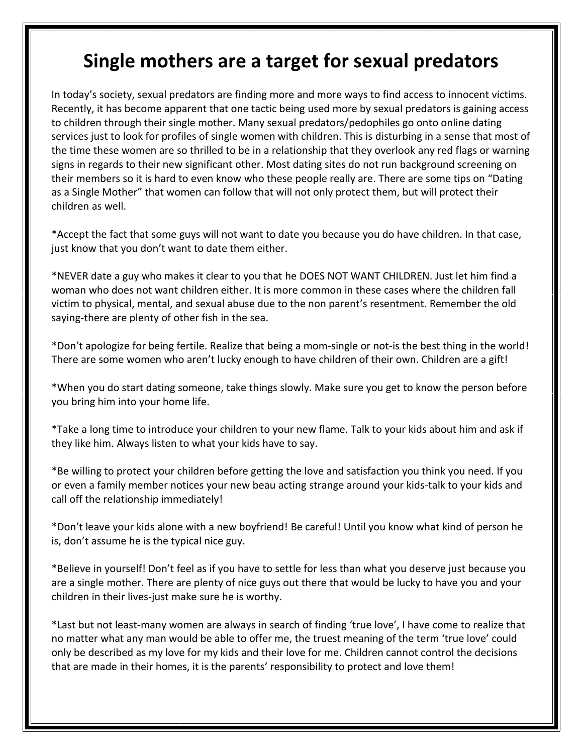## **Single mothers are a target for sexual predators**

In today's society, sexual predators are finding more and more ways to find access to innocent victims. Recently, it has become apparent that one tactic being used more by sexual predators is gaining access to children through their single mother. Many sexual predators/pedophiles go onto online dating services just to look for profiles of single women with children. This is disturbing in a sense that most of the time these women are so thrilled to be in a relationship that they overlook any red flags or warning signs in regards to their new significant other. Most dating sites do not run background screening on their members so it is hard to even know who these people really are. There are some tips on "Dating as a Single Mother" that women can follow that will not only protect them, but will protect their children as well.

\*Accept the fact that some guys will not want to date you because you do have children. In that case, just know that you don't want to date them either.

\*NEVER date a guy who makes it clear to you that he DOES NOT WANT CHILDREN. Just let him find a woman who does not want children either. It is more common in these cases where the children fall victim to physical, mental, and sexual abuse due to the non parent's resentment. Remember the old saying-there are plenty of other fish in the sea.

\*Don't apologize for being fertile. Realize that being a mom-single or not-is the best thing in the world! There are some women who aren't lucky enough to have children of their own. Children are a gift!

\*When you do start dating someone, take things slowly. Make sure you get to know the person before you bring him into your home life.

\*Take a long time to introduce your children to your new flame. Talk to your kids about him and ask if they like him. Always listen to what your kids have to say.

\*Be willing to protect your children before getting the love and satisfaction you think you need. If you or even a family member notices your new beau acting strange around your kids-talk to your kids and call off the relationship immediately!

\*Don't leave your kids alone with a new boyfriend! Be careful! Until you know what kind of person he is, don't assume he is the typical nice guy.

\*Believe in yourself! Don't feel as if you have to settle for less than what you deserve just because you are a single mother. There are plenty of nice guys out there that would be lucky to have you and your children in their lives-just make sure he is worthy.

\*Last but not least-many women are always in search of finding 'true love', I have come to realize that no matter what any man would be able to offer me, the truest meaning of the term 'true love' could only be described as my love for my kids and their love for me. Children cannot control the decisions that are made in their homes, it is the parents' responsibility to protect and love them!